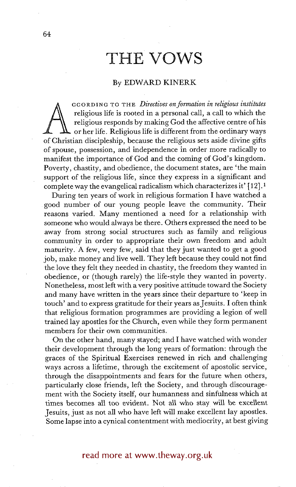## **THE VOWS**

## By EDWARD KINERK

*A c c o RD I N 0 T 0 THE Directives on formation in religious institutes*  religious life is rooted in a personal call, a call to which the religious responds by making God the affective centre of his or her life. Religious life is different from the ordinary ways of Christian discipleship, because the religious sets aside divine gifts of spouse, possession, and independence in order more radically to manifest the importance of God and the coming of God's kingdom. Poverty, chastity, and obedience, the document states, are 'the main support of the religious life, since they express in a significant and complete way the evangelical radicalism which characterizes it' [ 12]. 1

During ten years of work in religious formation I have watched a good number of our young people leave the community. Their reasons varied. Many mentioned a need for a relationship with someone who would always be there. Others expressed the need to be away from strong social structures such as family and religious community in order to appropriate their own freedom and adult maturity. A few, very few, said that they just wanted to get a good job, make money and live well. They left because they could not find the love they felt they needed in chastity, the freedom they wanted in obedience, or (though rarely) the life-style they wanted in poverty. Nonetheless, most left with a very positive attitude toward the Society and many have written in the years since their departure to 'keep in touch' and to express gratitude for their years as Jesuits. I often think that religious formation programmes are providing a legion of well trained lay apostles for the Church, even while they form permanent members for their own communities.

On the other hand, many stayed; and I have watched with wonder their development through the long years of formation: through the graces of the Spiritual Exercises renewed in rich and challenging ways across a lifetime, through the excitement of apostolic service, through the disappointments and fears for the future when others, particularly close friends, left the Society, and through discouragement with the Society itself, our humanness and sinfulness which at times becomes all too evident. Not all who stay will be excellent Jesuits, just as not all who have left will make excellent lay apostles. Some lapse into a cynical contentment with mediocrity, at best giving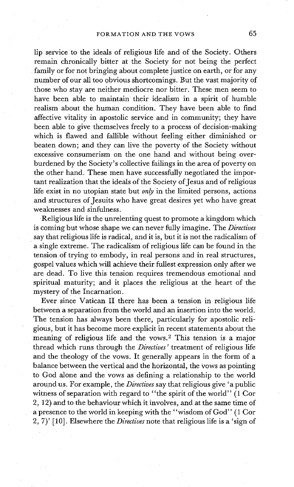lip service to the ideals of religious life and of the Society. Others remain chronically bitter at the Society for not being the perfect family or for not bringing about complete justice on earth, or for any number of our all too obvious shortcomings. But the vast majority of those who stay are neither mediocre nor bitter. These men seem to have been able to maintain their idealism in a spirit of humble realism about the human condition. They have been able to find affective vitality in apostolic service and in community; they have been able to give themselves freely to a process of decision-making which is flawed and fallible without feeling either diminished or beaten down; and they can live the poverty of the Society without excessive consumerism on the one hand and without being overburdened by the Society's collective failings in the area of poverty on the other hand. These men have successfully negotiated the important realization that the ideals of the Society of Jesus and of religious life exist in no utopian state but *only* in the limited persons, actions and structures of Jesuits who have great desires yet who have great weaknesses and sinfulness.

Religious life is the unrelenting quest to promote a kingdom which is coming but whose shape we can never fully imagine. The *Directives*  say that religious life is radical, and it is, but it is not the radicalism of a single extreme. The radicalism of religious life can be found in the tension of trying to embody, in real persons and in real structures, gospel values which will achieve their fullest expression only after we are dead. To live this tension requires tremendous emotional and spiritual maturity; and it places the religious at the heart of the mystery of the Incarnation.

Ever since Vatican II there has been a tension in religious life between a separation from the world and an insertion into the world. The tension has always been there, particularly for apostolic religious, but it has become more explicit in recent statements about the meaning of religious life and the vows. 2 This tension is a major thread which runs through the *Directives'* treatment of religious life and the theology of the vows. It generally appears in the form of a balance between the vertical and the horizontal, the vows as pointing to God alone and the vows as defining a relationship to the world around us. For example, the *Directives* say that religious give 'a public witness of separation with regard to "the spirit of the world" (1 Cor 2, 12) and to the behaviour which it involves, and at the same time of a presence to the world in keeping with the "wisdom of God" (1 Cor 2, 7)' [10]. Elsewhere the *Directives* note that religious life is a 'sign of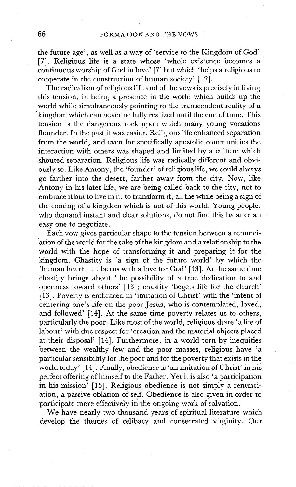the future age', as well as a way of 'service to the Kingdom of God' [7]. Religious life is a state whose 'whole existence becomes a continuous worship of God in love' [7] but which 'helps a religious to cooperate in the construction of human society' [12].

The radicalism of religious life and of the vows is precisely in living this tension, in being a presence in the world which builds up the world while simultaneously pointing to the transcendent reality of a kingdom which can never be fully realized until the end of time. This tension is the dangerous rock upon which many young vocations flounder. In the past it was easier. Religious life enhanced separation from the world, and even for specifically apostolic communities the interaction with others was shaped and limited by a culture which shouted separation. Religious life was radically different and obviously so. Like Antony, the 'founder' of religious life, we could always go farther into the desert, farther away from the city. Now, like Antony in his later life, we are being called back to the city, not to embrace it but to live in it, to transform it, all the while being a sign of the coming of a kingdom which is not of this world. Young people, who demand instant and clear solutions, do not find this balance an easy one to negotiate.

Each vow gives particular shape to the tension between a renunci- 'ation of the world for the sake of the kingdom and a relationship to the world with the hope of transforming it and preparing it for the kingdom. Chastity is 'a sign of the future world' by which the 'human heart.., burns with a love for God' [13]. At the same time chastity brings about 'the possibility of a true dedication to and openness toward others' [13]; chastity 'begets life for the church' [13]. Poverty is embraced in'imitation of Christ' with the 'intent of centering one's life on the poor Jesus, who is contemplated, loved, and followed' [14]. At the same time poverty relates us to others, particularly the poor. Like most of the world, religious share 'a life of labour' with due respect for 'creation and the material objects placed at their disposal' [14]. Furthermore, in a world torn by inequities between the wealthy few and the poor masses, religious have 'a particular sensibility for the poor and for the poverty that exists in the world today' [14]. Finally, obedience is 'an imitation of Christ' in his perfect offering of himself to the Father. Yet it is also 'a participation in his mission' [15]. Religious obedience is not simply a renunciation, a passive oblation of self. Obedience is also given in order to participate more effectively in the ongoing work of salvation.

We have nearly two thousand years of spiritual literature which develop the themes of celibacy and consecrated virginity. Our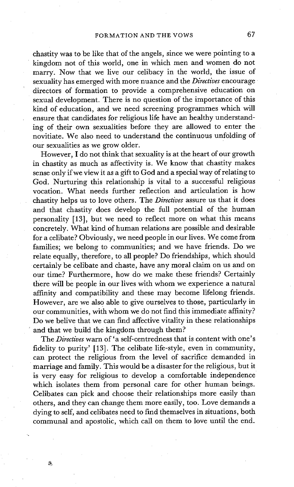chastity was to be like that of the angels, since we were pointing to a kingdom not of this world, one in which men and women do not marry. Now that we live our celibacy in the world, the issue of sexuality has emerged with more nuance and the *Directives* encourage • directors of formation to provide a comprehensive education on sexual development. There is no question of the importance of this kind of education, and we need screening programmes which will ensure that candidates for religious life have an healthy understanding of their own sexualities before they are allowed to enter the novitiate. We also need to understand the continuous unfolding of our sexualities as we grow older.

However, I do not think that sexuality is at the heart of our growth in chastity as much as affectivity is. We know that chastity makes sense only if we view it as a gift to God and a special way of relating to God. Nurturing this relationship is vital to a successful religious vocation. What needs further reflection and articulation is how chastity helps us to love others. The *Directives* assure us that it does and that chastity does develop the full potential of the human personality [13], but we need to reflect more on what this means concretely. What kind of human relations are possible and desirable for a celibate? Obviously, we need people in our lives. We come from families; we belong to communities; and we have friends. Do we relate equally, therefore, to all people? Do friendships, which should certainly be celibate and chaste, have any moral claim on us and on our time? Furthermore, how do we make these friends? Certainly there will be people in our lives with whom we experience a natural affinity and compatibility and these may become lifelong friends. However, are we also able to give ourselves to those, particularly in our communities, with whom we do not find this immediate affinity? Do we belive that we can find affective vitality in these relationships and that we build the kingdom through them?

The *Directives* warn of 'a self-centredness that is content with one's fidelity to purity' [13]. The celibate life-styie, even in community, can protect the religious from the level of sacrifice demanded in • marriage and family. This would be a disaster for the religious, but it is very easy for religious to develop a comfortable independence which isolates them from personal care for other human beings. Celibates can pick and choose their relationships more easily than others, and they can change them more easily, too. Love demands a dying to self, and celibates need to find themselves in situations, both communal and apostolic, which call on them to love until the end.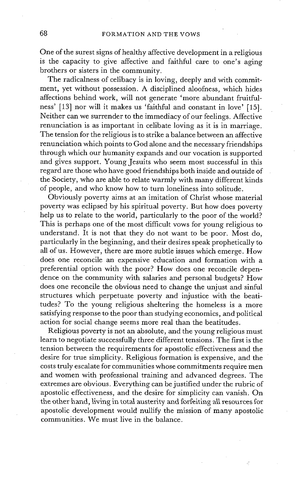One of the surest signs of healthy affective development in a religious is the capacity to give affective and faithful care to one's aging brothers or sisters in the community.

The radicalness of celibacy is in loving, deeply and with commitment, yet without possession. A disciplined aloofness, which hides affections behind work, will not generate 'more abundant fruitfulness' [13] nor will it makes us 'faithful and constant in love' [15]. Neither can we surrender to the immediacy of our feelings. Affective renunciation is as important in celibate loving as it is in marriage. The tension for the religious is to strike a balance between an affective renunciation which points to God alone and the necessary friendships through which our humanity expands and our vocation is supported and gives support. Young Jesuits who seem most successful in this regard are those who have good friendships both inside and outside of the Society, who are able to relate warmly with many different kinds of people, and who know how to turn loneliness into solitude.

Obviously poverty aims at an imitation of Christ whose material poverty was eclipsed by his spiritual poverty. But how does poverty help us to relate to the world, particularly to the poor of the world? This is perhaps one of the most difficult vows for young religious to understand. It is not that they do not want to be poor. Most do, particularly in the beginning, and their desires speak prophetically to all of us. However, there are more subtle issues which emerge. How does one reconcile an expensive education and formation with a preferential option with the poor? How does one reconcile dependence on the community with salaries and personal budgets? How does one reconcile the obvious need to change the unjust and sinful structures which perpetuate poverty and injustice with the beatitudes? To the young religious sheltering the homeless is a more satisfying response to the poor than studying economics, and political action for social change seems more real than the beatitudes.

Religious poverty is not an absolute, and the young religious must learn to negotiate successfully three different tensions. The first is the tension between the requirements for apostolic effectiveness and the desire for true simplicity. Religious formation is expensive, and the costs truly escalate for communities whose commitments require men and women with professional training and advanced degrees. The extremes are obvious. Everything can be justified under the rubric of apostolic effectiveness, and the desire for simplicity can vanish. On the other hand, living in total austerity and forfeiting all resources for apostolic development would nullify the mission of many apostolic communities. We must live in the balance.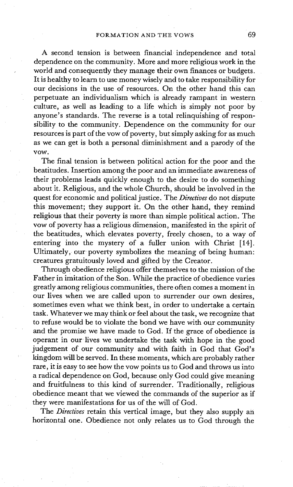A second tension is between financial independence and total dependence on the community. More and more religious work in the world and consequently they manage their own finances or budgets. It is healthy to learn to use money wisely and to take responsibility for our decisions in the use of resources. On the other hand this can perpetuate an individualism which is already rampant in western culture, as well as leading to a life which is simply not poor by anyone's standards. The reverse is a total relinquishing of responsibility to the community. Dependence on the community for our resources is part of the vow of poverty, but simply asking for as much as we can get is both a personal diminishment and a parody of the VOW.

The final tension is between political action for the poor and the beatitudes. Insertion among the poor and an immediate awareness of their problems leads quickly enough to the desire to do something about it. Religious, and the whole Church, should be involved in the quest for economic and political justice. The *Directives* do not dispute this movement; they support it. On the other hand, they remind religious that their poverty is more than simple political action. The vow of poverty has a religious dimension, manifested in the spirit of the beatitudes, which elevates poverty, freely chosen, to a way of entering into the mystery of a fuller union with Christ [14]. Ultimately, our poverty symbolizes the meaning of being human: creatures gratuitously loved and gifted by the Creator.

Through obedience religious offer themselves to the mission of the Father in imitation of the Son. While the practice of obedience varies greatly among religious communities, there often comes a moment in our lives when we are called upon to surrender our own desires, sometimes even what we think best, in order to undertake a certain task. Whatever we may think or feel about the task, we recognize that to refuse would be to violate the bond we have with our community and the promise we have made to God. If the grace of obedience is operant in our lives we undertake the task with hope in the good judgement of our community and with faith in God that God's kingdom will be served. In these moments, which are probably rather rare, it is easy to see how the vow points us to God and throws us into a radical dependence on God, because only God could give meaning and fruitfulness to this kind of surrender. Traditionally, religious obedience meant that we viewed the commands of the superior as if they were manifestations for us of the will of God.

The *Directives* retain this vertical image, but they also supply an horizontal one. Obedience not only relates us to God through the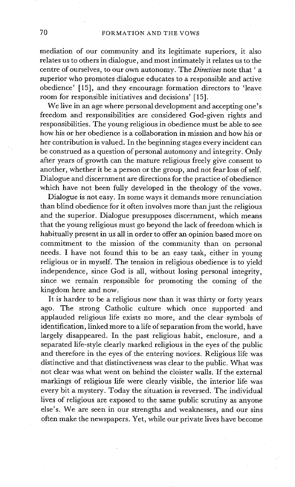mediation of our community and its legitimate superiors, it also relates us to others in dialogue, and most intimately it relates us to the centre of ourselves, to our own autonomy. The *Directives* note that ' a superior who promotes dialogue educates to a responsible and active obedience' [15], and they encourage formation directors to 'leave room for responsible initiatives and decisions' [15].

We live in an age where personal development and accepting one's freedom and responsibilities are considered God-given rights and responsibilities. The young religious in obedience must be able to see how his or her obedience is a collaboration in mission and how his or her contribution is valued. In the beginning stages every incident can be construed as a question of personal automony and integrity. Only after years of growth can the mature religious freely give consent to another, whether it be a person or the group, and not fear loss of self. Dialogue and discernment are directions for the practice of obedience which have not been fully developed in the theology of the vows.

Dialogue is not easy. In some ways it demands more renunciation than blind obedience for it often involves more than just the religious and the superior. Dialogue presupposes discernment, which means that the young religious must go beyond the lack of freedom which is habitually present in us all in order to offer an opinion based more on commitment to the mission of the community than on personal needs. I have not found this to be an easy task, either in young religious or in myself. The tension in religious obedience is to yield independence, since God is all, without losing personal integrity, since we remain responsible for promoting the coming of the kingdom here and now.

It is harder to be a religious now than it was thirty or forty years ago. The strong Catholic culture which once supported and applauded religious life exists no more, and the clear symbols of identification, linked more to a life of separation from the world, have largely disappeared. In the past religious habit, enclosure, and a separated life-style clearly marked religious in the eyes of the public and therefore in the eyes of the entering novices. Religious life was distinctive and that distinctiveness was clear to the public. What was not clear was what went on behind the cloister walls. If the external markings of religious life were clearly visible, the interior life was every bit a mystery. Today the situation is reversed. The individual lives of religious are exposed to the same public scrutiny as anyone else's. We are seen in our strengths and weaknesses, and our sins often make the newspapers. Yet, while our private lives have become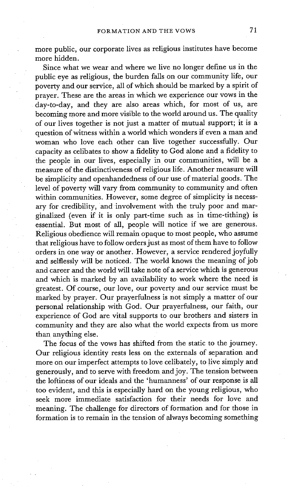more public, our corporate lives as religious institutes have become more hidden.

Since what we wear and where we live no longer define us in the public eye as religious, the burden fails on our community life, our poverty and our service, all of which should be marked by a spirit of prayer. These are the areas in which we experience our vows in the day-to-day, and they are also areas which, for most of us, are becoming more and more visible to the world around us. The quality of our lives together is not just a matter of mutual support; it is a question of witness within a world which wonders if even a man and woman who love each other can live together successfully. Our capacity as celibates to show a fidelity to God alone and a fidelity to the people in our lives, especially in our communities, will be a measure of the distinctiveness of religious life. Another measure will be simplicity and openhandedness of our use of material goods. The level of poverty will vary from community to community and often within communities. However, some degree of simplicity is necessary for credibility, and involvement with the truly poor and marginalized (even if it is only part-time such as in time-tithing) is essential. But most of all, people will notice if we are generous. Religious obedience will remain opaque to most people, who assume that religious have to follow orders just as most of them have to follow orders in one way or another. However, a service rendered joyfully and selflessly will be noticed. The world knows the meaning of job and career and the world will take note of a service which is generous and which is marked by an availability to work where the need is greatest. Of course, our love, our poverty and our service must be marked by prayer. Our prayerfulness is not simply a matter of our personal relationship with God. Our prayerfulness, our faith, our experience of God are vital supports to our brothers and sisters in community and they are also what the world expects from us more than anything else.

The focus of the vows has shifted from the static to the journey. Our religious identity rests less on the externals of separation and more on our imperfect attempts to love celibately, to live simply and generously, and to serve with freedom and joy. The tension between the loftiness of our ideals and the 'humanness' of our response is all too evident, and this is especially hard on the young religious, who seek more immediate satisfaction for their needs for love and meaning. The challenge for directors of formation and for those in formation is to remain in the tension of always becoming something